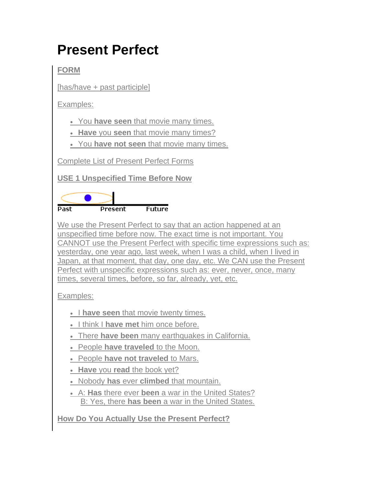# **Present Perfect**

**FORM**

[has/have + past participle]

Examples:

You **have seen** that movie many times.

**Have** you **seen** that movie many times?

You **have not seen** that movie many times.

Complete List of Present Perfect Forms

**USE 1 Unspecified Time Before Now**



We use the Present Perfect to say that an action happened at an unspecified time before now. The exact time is not important. You CANNOT use the Present Perfect with specific time expressions such as: yesterday, one year ago, last week, when I was a child, when I lived in Japan, at that moment, that day, one day, etc. We CAN use the Present Perfect with unspecific expressions such as: ever, never, once, many times, several times, before, so far, already, yet, etc.

Examples:

**I have seen** that movie twenty times.

- I think I **have met** him once before.
- There **have been** many earthquakes in California.
- People **have traveled** to the Moon.
- People **have not traveled** to Mars.
- **Have** you **read** the book yet?
- Nobody **has** ever **climbed** that mountain.
- A: **Has** there ever **been** a war in the United States? B: Yes, there **has been** a war in the United States.

**How Do You Actually Use the Present Perfect?**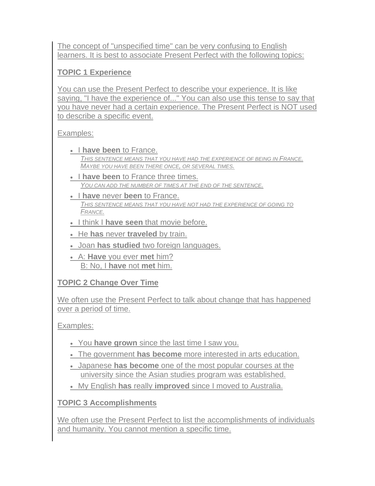The concept of "unspecified time" can be very confusing to English learners. It is best to associate Present Perfect with the following topics:

### **TOPIC 1 Experience**

You can use the Present Perfect to describe your experience. It is like saying, "I have the experience of..." You can also use this tense to say that you have never had a certain experience. The Present Perfect is NOT used to describe a specific event.

#### Examples:

- **.** I have been to France. *THIS SENTENCE MEANS THAT YOU HAVE HAD THE EXPERIENCE OF BEING IN FRANCE. MAYBE YOU HAVE BEEN THERE ONCE, OR SEVERAL TIMES.*
- **I have been** to France three times. *YOU CAN ADD THE NUMBER OF TIMES AT THE END OF THE SENTENCE.*
- I **have** never **been** to France. *THIS SENTENCE MEANS THAT YOU HAVE NOT HAD THE EXPERIENCE OF GOING TO FRANCE.*
- **I** think I have seen that movie before.
- He **has** never **traveled** by train.
- Joan **has studied** two foreign languages.
- A: **Have** you ever **met** him? B: No, I **have** not **met** him.

#### **TOPIC 2 Change Over Time**

We often use the Present Perfect to talk about change that has happened over a period of time.

Examples:

- You **have grown** since the last time I saw you.
- The government **has become** more interested in arts education.
- Japanese **has become** one of the most popular courses at the university since the Asian studies program was established.
- My English **has** really **improved** since I moved to Australia.

# **TOPIC 3 Accomplishments**

We often use the Present Perfect to list the accomplishments of individuals and humanity. You cannot mention a specific time.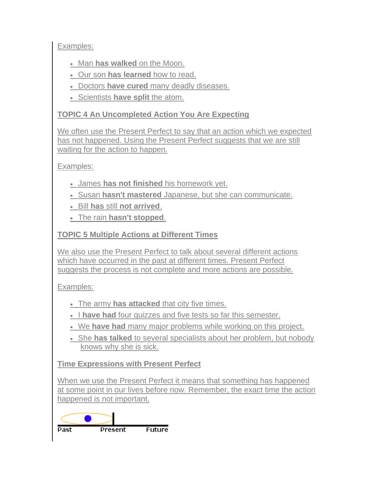Examples:

- Man **has walked** on the Moon.
- Our son **has learned** how to read.
- Doctors **have cured** many deadly diseases.
- Scientists have split the atom.

#### **TOPIC 4 An Uncompleted Action You Are Expecting**

We often use the Present Perfect to say that an action which we expected has not happened. Using the Present Perfect suggests that we are still waiting for the action to happen.

Examples:

- James **has not finished** his homework yet.
- Susan **hasn't mastered** Japanese, but she can communicate.
- Bill **has** still **not arrived**.
- The rain **hasn't stopped**.

## **TOPIC 5 Multiple Actions at Different Times**

We also use the Present Perfect to talk about several different actions which have occurred in the past at different times. Present Perfect suggests the process is not complete and more actions are possible.

Examples:

- The army **has attacked** that city five times.
- I have had four quizzes and five tests so far this semester.
- We **have had** many major problems while working on this project.
- She **has talked** to several specialists about her problem, but nobody knows why she is sick.

**Time Expressions with Present Perfect**

When we use the Present Perfect it means that something has happened at some point in our lives before now. Remember, the exact time the action happened is not important.

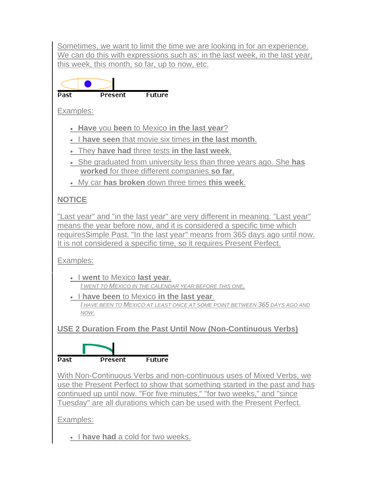Sometimes, we want to limit the time we are looking in for an experience. We can do this with expressions such as: in the last week, in the last year, this week, this month, so far, up to now, etc.

**Past Present Future** Examples: **Have** you **been** to Mexico **in the last year**? **I have seen** that movie six times **in the last month**. They **have had** three tests **in the last week**. She graduated from university less than three years ago. She **has worked** for three different companies **so far**. My car **has broken** down three times **this week**. **NOTICE** "Last year" and "in the last year" are very different in meaning. "Last year" means the year before now, and it is considered a specific time which requiresSimple Past. "In the last year" means from 365 days ago until now. It is not considered a specific time, so it requires Present Perfect. Examples: I **went** to Mexico **last year**. *I WENT TO MEXICO IN THE CALENDAR YEAR BEFORE THIS ONE.* I **have been** to Mexico **in the last year**. *I HAVE BEEN TO MEXICO AT LEAST ONCE AT SOME POINT BETWEEN 365 DAYS AGO AND NOW.* **USE 2 Duration From the Past Until Now (Non-Continuous Verbs)** Past **Present Future** With Non-Continuous Verbs and non-continuous uses of Mixed Verbs, we use the Present Perfect to show that something started in the past and has continued up until now. "For five minutes," "for two weeks," and "since

Tuesday" are all durations which can be used with the Present Perfect.

Examples:

• I have had a cold for two weeks.